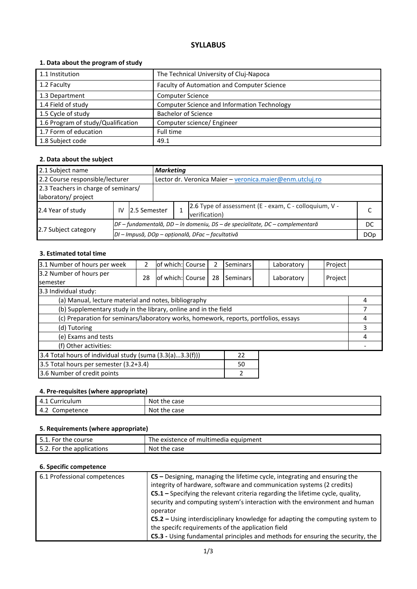# **SYLLABUS**

## **1. Data about the program of study**

| 1.1 Institution                    | The Technical University of Cluj-Napoca     |
|------------------------------------|---------------------------------------------|
| 1.2 Faculty                        | Faculty of Automation and Computer Science  |
|                                    |                                             |
| 1.3 Department                     | <b>Computer Science</b>                     |
| 1.4 Field of study                 | Computer Science and Information Technology |
| 1.5 Cycle of study                 | <b>Bachelor of Science</b>                  |
| 1.6 Program of study/Qualification | Computer science/ Engineer                  |
| 1.7 Form of education              | Full time                                   |
| 1.8 Subject code                   | 49.1                                        |

## **2. Data about the subject**

| 2.1 Subject name                    |    |                                                  |                                                          | <b>Marketing</b>                                                             |  |  |  |  |
|-------------------------------------|----|--------------------------------------------------|----------------------------------------------------------|------------------------------------------------------------------------------|--|--|--|--|
| 2.2 Course responsible/lecturer     |    |                                                  | Lector dr. Veronica Maier - veronica.maier@enm.utcluj.ro |                                                                              |  |  |  |  |
| 2.3 Teachers in charge of seminars/ |    |                                                  |                                                          |                                                                              |  |  |  |  |
| laboratory/ project                 |    |                                                  |                                                          |                                                                              |  |  |  |  |
| 2.4 Year of study                   | IV | 12.5 Semester                                    |                                                          | 2.6 Type of assessment (E - exam, C - colloquium, V -<br>verification)       |  |  |  |  |
|                                     |    |                                                  |                                                          | DF – fundamentală, DD – în domeniu, DS – de specialitate, DC – complementară |  |  |  |  |
| 2.7 Subject category                |    | DI - Impusă, DOp - opțională, DFac - facultativă |                                                          |                                                                              |  |  |  |  |

#### **3. Estimated total time**

| 3.1 Number of hours per week                                                         | 2  | lof which: Course |  | 2  | Seminars |  | Laboratory | Project |   |
|--------------------------------------------------------------------------------------|----|-------------------|--|----|----------|--|------------|---------|---|
| 3.2 Number of hours per<br><b>semester</b>                                           | 28 | of which: Course  |  | 28 | Seminars |  | Laboratory | Project |   |
| 3.3 Individual study:                                                                |    |                   |  |    |          |  |            |         |   |
| (a) Manual, lecture material and notes, bibliography                                 |    |                   |  |    |          |  |            |         | 4 |
| (b) Supplementary study in the library, online and in the field                      |    |                   |  |    |          |  |            |         |   |
| (c) Preparation for seminars/laboratory works, homework, reports, portfolios, essays |    |                   |  |    |          |  | 4          |         |   |
| (d) Tutoring                                                                         |    |                   |  |    |          |  | 3          |         |   |
| (e) Exams and tests                                                                  |    |                   |  |    |          |  |            | 4       |   |
| (f) Other activities:                                                                |    |                   |  |    |          |  |            |         |   |
| 3.4 Total hours of individual study (suma (3.3(a)3.3(f)))<br>22                      |    |                   |  |    |          |  |            |         |   |
| 3.5 Total hours per semester (3.2+3.4)<br>50                                         |    |                   |  |    |          |  |            |         |   |
| 3.6 Number of credit points<br>2                                                     |    |                   |  |    |          |  |            |         |   |

#### **4. Pre-requisites (where appropriate)**

| 4.1<br>Curriculum | Not.<br>case<br>the |
|-------------------|---------------------|
| 4.2<br>Competence | Not.<br>case<br>the |

## **5. Requirements (where appropriate)**

| 5.1. For the course       | The existence of multimedia equipment |
|---------------------------|---------------------------------------|
| 5.2. For the applications | Not the case                          |

### **6. Specific competence**

| 6.1 Professional competences | $CS$ – Designing, managing the lifetime cycle, integrating and ensuring the     |
|------------------------------|---------------------------------------------------------------------------------|
|                              | integrity of hardware, software and communication systems (2 credits)           |
|                              | C5.1 - Specifying the relevant criteria regarding the lifetime cycle, quality,  |
|                              | security and computing system's interaction with the environment and human      |
|                              | operator                                                                        |
|                              | $C5.2$ – Using interdisciplinary knowledge for adapting the computing system to |
|                              | the specifc requirements of the application field                               |
|                              | C5.3 - Using fundamental principles and methods for ensuring the security, the  |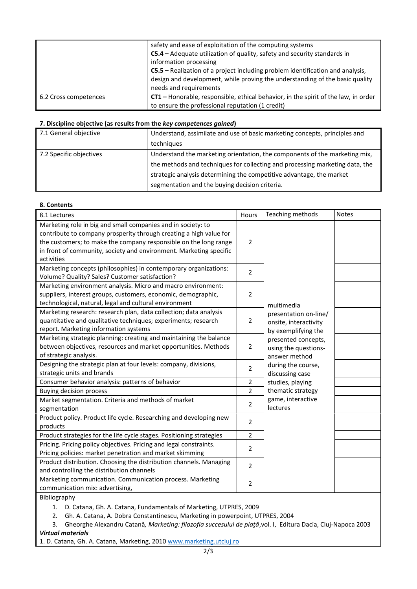|                       | safety and ease of exploitation of the computing systems<br>C5.4 - Adequate utilization of quality, safety and security standards in<br>information processing<br>C5.5 - Realization of a project including problem identification and analysis,<br>design and development, while proving the understanding of the basic quality<br>needs and requirements |
|-----------------------|------------------------------------------------------------------------------------------------------------------------------------------------------------------------------------------------------------------------------------------------------------------------------------------------------------------------------------------------------------|
| 6.2 Cross competences | CT1 - Honorable, responsible, ethical behavior, in the spirit of the law, in order<br>to ensure the professional reputation (1 credit)                                                                                                                                                                                                                     |

#### **7. Discipline objective (as results from the** *key competences gained***)**

| 7.1 General objective   | Understand, assimilate and use of basic marketing concepts, principles and   |  |  |
|-------------------------|------------------------------------------------------------------------------|--|--|
|                         | techniques                                                                   |  |  |
| 7.2 Specific objectives | Understand the marketing orientation, the components of the marketing mix,   |  |  |
|                         | the methods and techniques for collecting and processing marketing data, the |  |  |
|                         | strategic analysis determining the competitive advantage, the market         |  |  |
|                         | segmentation and the buying decision criteria.                               |  |  |

#### **8. Contents**

| 8.1 Lectures                                                                                                                                                                                                                                                                               | Hours          | Teaching methods                                                      | <b>Notes</b> |
|--------------------------------------------------------------------------------------------------------------------------------------------------------------------------------------------------------------------------------------------------------------------------------------------|----------------|-----------------------------------------------------------------------|--------------|
| Marketing role in big and small companies and in society: to<br>contribute to company prosperity through creating a high value for<br>the customers; to make the company responsible on the long range<br>in front of community, society and environment. Marketing specific<br>activities | 2              |                                                                       |              |
| Marketing concepts (philosophies) in contemporary organizations:<br>Volume? Quality? Sales? Customer satisfaction?                                                                                                                                                                         | 2              |                                                                       |              |
| Marketing environment analysis. Micro and macro environment:<br>suppliers, interest groups, customers, economic, demographic,<br>technological, natural, legal and cultural environment                                                                                                    | $\overline{2}$ | multimedia                                                            |              |
| Marketing research: research plan, data collection; data analysis<br>quantitative and qualitative techniques; experiments; research<br>report. Marketing information systems                                                                                                               | 2              | presentation on-line/<br>onsite, interactivity<br>by exemplifying the |              |
| Marketing strategic planning: creating and maintaining the balance<br>between objectives, resources and market opportunities. Methods<br>of strategic analysis.                                                                                                                            | 2              | presented concepts,<br>using the questions-<br>answer method          |              |
| Designing the strategic plan at four levels: company, divisions,<br>strategic units and brands                                                                                                                                                                                             | $\overline{2}$ | during the course,<br>discussing case                                 |              |
| Consumer behavior analysis: patterns of behavior                                                                                                                                                                                                                                           | 2              | studies, playing                                                      |              |
| Buying decision process                                                                                                                                                                                                                                                                    | $\overline{2}$ | thematic strategy                                                     |              |
| Market segmentation. Criteria and methods of market<br>segmentation                                                                                                                                                                                                                        | 2              | game, interactive<br>lectures                                         |              |
| Product policy. Product life cycle. Researching and developing new<br>products                                                                                                                                                                                                             | $\overline{2}$ |                                                                       |              |
| Product strategies for the life cycle stages. Positioning strategies                                                                                                                                                                                                                       | 2              |                                                                       |              |
| Pricing. Pricing policy objectives. Pricing and legal constraints.<br>Pricing policies: market penetration and market skimming                                                                                                                                                             | 2              |                                                                       |              |
| Product distribution. Choosing the distribution channels. Managing<br>and controlling the distribution channels                                                                                                                                                                            | $\overline{2}$ |                                                                       |              |
| Marketing communication. Communication process. Marketing<br>communication mix: advertising,                                                                                                                                                                                               | 2              |                                                                       |              |

Bibliography

1. D. Catana, Gh. A. Catana, Fundamentals of Marketing, UTPRES, 2009

2. Gh. A. Catana, A. Dobra Constantinescu, Marketing in powerpoint, UTPRES, 2004

3. Gheorghe Alexandru Catană*, Marketing: filozofia succesului de piaţă*,vol. I, Editura Dacia, Cluj-Napoca 2003 *Virtual materials*

1. D. Catana, Gh. A. Catana, Marketing, 2010 [www.marketing.utcluj.ro](http://www.marketing.utcluj.ro/)